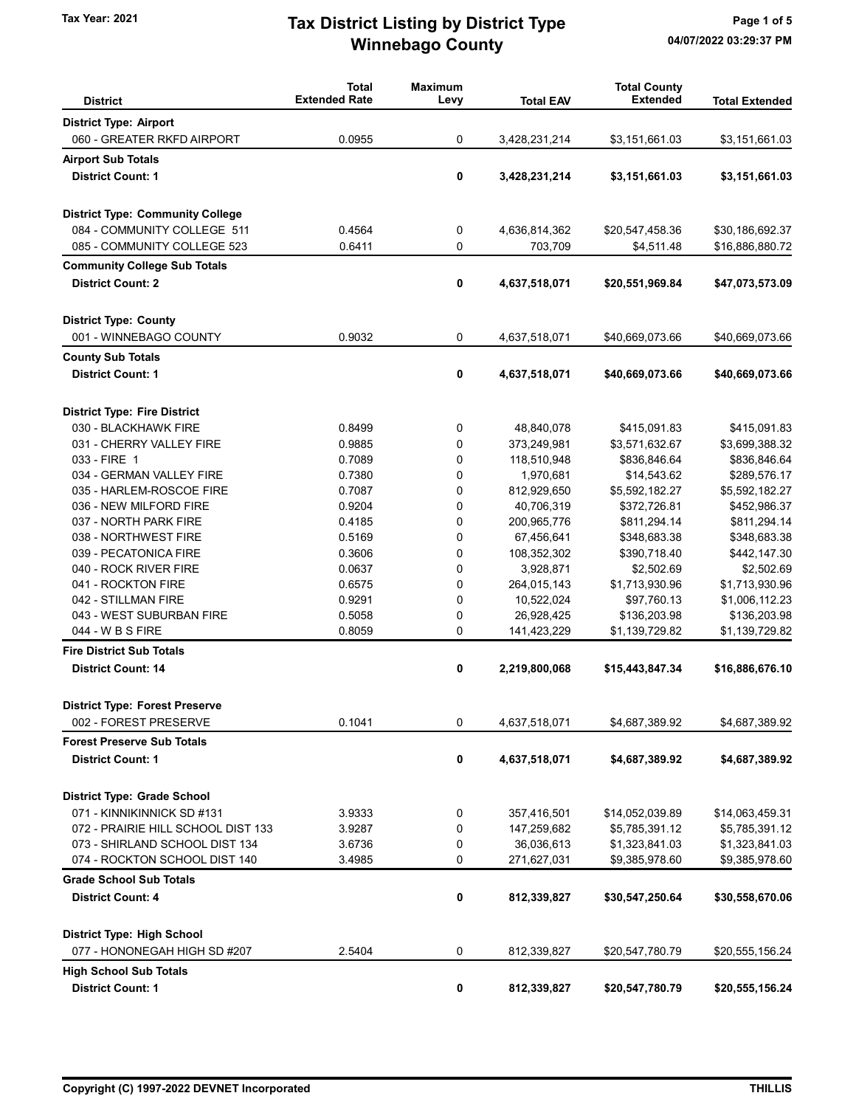## Winnebago County Tax Year: 2021 **Tax District Listing by District Type** Page 1 of 5

| <b>District</b>                         | <b>Total</b><br><b>Extended Rate</b> | <b>Maximum</b><br>Levy | <b>Total EAV</b> | <b>Total County</b><br><b>Extended</b> | <b>Total Extended</b> |
|-----------------------------------------|--------------------------------------|------------------------|------------------|----------------------------------------|-----------------------|
| <b>District Type: Airport</b>           |                                      |                        |                  |                                        |                       |
| 060 - GREATER RKFD AIRPORT              | 0.0955                               | 0                      | 3,428,231,214    | \$3,151,661.03                         | \$3,151,661.03        |
| <b>Airport Sub Totals</b>               |                                      |                        |                  |                                        |                       |
| <b>District Count: 1</b>                |                                      |                        |                  |                                        |                       |
|                                         |                                      | 0                      | 3,428,231,214    | \$3,151,661.03                         | \$3,151,661.03        |
| <b>District Type: Community College</b> |                                      |                        |                  |                                        |                       |
| 084 - COMMUNITY COLLEGE 511             | 0.4564                               | 0                      | 4,636,814,362    | \$20,547,458.36                        | \$30,186,692.37       |
| 085 - COMMUNITY COLLEGE 523             | 0.6411                               | 0                      | 703,709          | \$4,511.48                             | \$16,886,880.72       |
| <b>Community College Sub Totals</b>     |                                      |                        |                  |                                        |                       |
| <b>District Count: 2</b>                |                                      | 0                      | 4,637,518,071    | \$20,551,969.84                        | \$47,073,573.09       |
| <b>District Type: County</b>            |                                      |                        |                  |                                        |                       |
| 001 - WINNEBAGO COUNTY                  | 0.9032                               | 0                      | 4,637,518,071    | \$40,669,073.66                        | \$40,669,073.66       |
| <b>County Sub Totals</b>                |                                      |                        |                  |                                        |                       |
| <b>District Count: 1</b>                |                                      | 0                      | 4,637,518,071    | \$40,669,073.66                        | \$40,669,073.66       |
| <b>District Type: Fire District</b>     |                                      |                        |                  |                                        |                       |
| 030 - BLACKHAWK FIRE                    | 0.8499                               | 0                      | 48,840,078       | \$415,091.83                           | \$415,091.83          |
| 031 - CHERRY VALLEY FIRE                | 0.9885                               | 0                      | 373,249,981      | \$3,571,632.67                         | \$3,699,388.32        |
| 033 - FIRE 1                            | 0.7089                               | $\mathbf 0$            | 118,510,948      | \$836,846.64                           | \$836,846.64          |
| 034 - GERMAN VALLEY FIRE                | 0.7380                               | 0                      | 1,970,681        | \$14,543.62                            | \$289,576.17          |
| 035 - HARLEM-ROSCOE FIRE                | 0.7087                               | 0                      | 812,929,650      | \$5,592,182.27                         | \$5,592,182.27        |
| 036 - NEW MILFORD FIRE                  | 0.9204                               | 0                      | 40,706,319       | \$372,726.81                           | \$452,986.37          |
| 037 - NORTH PARK FIRE                   | 0.4185                               | 0                      | 200,965,776      | \$811,294.14                           | \$811,294.14          |
| 038 - NORTHWEST FIRE                    | 0.5169                               | 0                      | 67,456,641       | \$348,683.38                           | \$348,683.38          |
| 039 - PECATONICA FIRE                   | 0.3606                               | 0                      | 108,352,302      | \$390,718.40                           | \$442,147.30          |
| 040 - ROCK RIVER FIRE                   | 0.0637                               | 0                      | 3,928,871        | \$2,502.69                             | \$2,502.69            |
| 041 - ROCKTON FIRE                      | 0.6575                               | 0                      | 264,015,143      | \$1,713,930.96                         | \$1,713,930.96        |
| 042 - STILLMAN FIRE                     | 0.9291                               | 0                      | 10,522,024       | \$97,760.13                            | \$1,006,112.23        |
| 043 - WEST SUBURBAN FIRE                | 0.5058                               | 0                      | 26,928,425       | \$136,203.98                           | \$136,203.98          |
| 044 - W B S FIRE                        | 0.8059                               | 0                      | 141,423,229      | \$1,139,729.82                         | \$1,139,729.82        |
| <b>Fire District Sub Totals</b>         |                                      |                        |                  |                                        |                       |
| <b>District Count: 14</b>               |                                      | 0                      | 2,219,800,068    | \$15,443,847.34                        | \$16,886,676.10       |
| <b>District Type: Forest Preserve</b>   |                                      |                        |                  |                                        |                       |
| 002 - FOREST PRESERVE                   | 0.1041                               | 0                      | 4,637,518,071    | \$4,687,389.92                         | \$4,687,389.92        |
| <b>Forest Preserve Sub Totals</b>       |                                      |                        |                  |                                        |                       |
| <b>District Count: 1</b>                |                                      | 0                      | 4,637,518,071    | \$4,687,389.92                         | \$4,687,389.92        |
| <b>District Type: Grade School</b>      |                                      |                        |                  |                                        |                       |
| 071 - KINNIKINNICK SD #131              | 3.9333                               | 0                      | 357,416,501      | \$14,052,039.89                        | \$14,063,459.31       |
| 072 - PRAIRIE HILL SCHOOL DIST 133      | 3.9287                               | 0                      | 147,259,682      | \$5,785,391.12                         | \$5,785,391.12        |
| 073 - SHIRLAND SCHOOL DIST 134          | 3.6736                               | 0                      | 36,036,613       | \$1,323,841.03                         | \$1,323,841.03        |
| 074 - ROCKTON SCHOOL DIST 140           | 3.4985                               | 0                      | 271,627,031      | \$9,385,978.60                         | \$9,385,978.60        |
| <b>Grade School Sub Totals</b>          |                                      |                        |                  |                                        |                       |
| <b>District Count: 4</b>                |                                      | 0                      | 812,339,827      | \$30,547,250.64                        | \$30,558,670.06       |
| <b>District Type: High School</b>       |                                      |                        |                  |                                        |                       |
| 077 - HONONEGAH HIGH SD #207            | 2.5404                               | 0                      | 812,339,827      | \$20,547,780.79                        | \$20,555,156.24       |
| <b>High School Sub Totals</b>           |                                      |                        |                  |                                        |                       |
| <b>District Count: 1</b>                |                                      | 0                      | 812,339,827      | \$20,547,780.79                        | \$20,555,156.24       |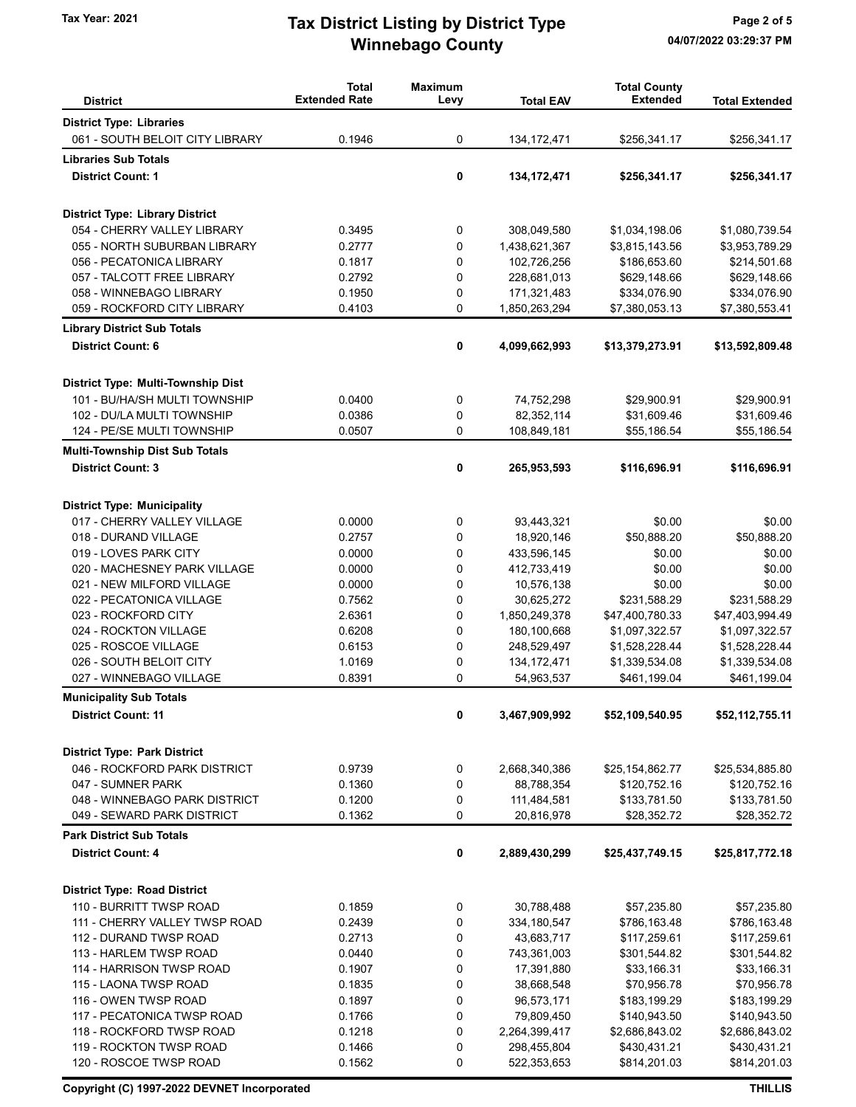## Winnebago County Tax Year: 2021 **Tax District Listing by District Type** Page 2 of 5

| <b>District</b>                                             | <b>Total</b><br><b>Extended Rate</b> | <b>Maximum</b><br>Levy | <b>Total EAV</b> | <b>Total County</b><br><b>Extended</b> | <b>Total Extended</b> |
|-------------------------------------------------------------|--------------------------------------|------------------------|------------------|----------------------------------------|-----------------------|
| <b>District Type: Libraries</b>                             |                                      |                        |                  |                                        |                       |
| 061 - SOUTH BELOIT CITY LIBRARY                             | 0.1946                               | 0                      | 134, 172, 471    | \$256,341.17                           | \$256,341.17          |
| <b>Libraries Sub Totals</b>                                 |                                      |                        |                  |                                        |                       |
| <b>District Count: 1</b>                                    |                                      | 0                      | 134, 172, 471    | \$256,341.17                           | \$256,341.17          |
| <b>District Type: Library District</b>                      |                                      |                        |                  |                                        |                       |
| 054 - CHERRY VALLEY LIBRARY                                 | 0.3495                               | 0                      | 308,049,580      | \$1,034,198.06                         | \$1,080,739.54        |
| 055 - NORTH SUBURBAN LIBRARY                                | 0.2777                               | 0                      | 1,438,621,367    | \$3,815,143.56                         | \$3,953,789.29        |
| 056 - PECATONICA LIBRARY                                    | 0.1817                               | 0                      | 102,726,256      | \$186,653.60                           | \$214,501.68          |
| 057 - TALCOTT FREE LIBRARY                                  | 0.2792                               | 0                      | 228,681,013      | \$629,148.66                           | \$629,148.66          |
| 058 - WINNEBAGO LIBRARY                                     | 0.1950                               | 0                      | 171,321,483      | \$334,076.90                           | \$334,076.90          |
| 059 - ROCKFORD CITY LIBRARY                                 | 0.4103                               | 0                      | 1,850,263,294    | \$7,380,053.13                         | \$7,380,553.41        |
| <b>Library District Sub Totals</b>                          |                                      |                        |                  |                                        |                       |
| <b>District Count: 6</b>                                    |                                      | 0                      | 4,099,662,993    | \$13,379,273.91                        | \$13,592,809.48       |
| District Type: Multi-Township Dist                          |                                      |                        |                  |                                        |                       |
| 101 - BU/HA/SH MULTI TOWNSHIP                               | 0.0400                               | 0                      | 74,752,298       | \$29,900.91                            | \$29,900.91           |
| 102 - DU/LA MULTI TOWNSHIP                                  | 0.0386                               | 0                      | 82,352,114       | \$31,609.46                            | \$31,609.46           |
| 124 - PE/SE MULTI TOWNSHIP                                  | 0.0507                               | 0                      | 108,849,181      | \$55,186.54                            | \$55,186.54           |
| <b>Multi-Township Dist Sub Totals</b>                       |                                      |                        |                  |                                        |                       |
| <b>District Count: 3</b>                                    |                                      | 0                      | 265,953,593      | \$116,696.91                           | \$116,696.91          |
| <b>District Type: Municipality</b>                          |                                      |                        |                  |                                        |                       |
| 017 - CHERRY VALLEY VILLAGE                                 | 0.0000                               | 0                      | 93,443,321       | \$0.00                                 | \$0.00                |
| 018 - DURAND VILLAGE                                        | 0.2757                               | 0                      | 18,920,146       | \$50,888.20                            | \$50,888.20           |
| 019 - LOVES PARK CITY                                       | 0.0000                               | 0                      | 433,596,145      | \$0.00                                 | \$0.00                |
| 020 - MACHESNEY PARK VILLAGE                                | 0.0000                               | 0                      | 412,733,419      | \$0.00                                 | \$0.00                |
| 021 - NEW MILFORD VILLAGE                                   | 0.0000                               | 0                      | 10,576,138       | \$0.00                                 | \$0.00                |
| 022 - PECATONICA VILLAGE                                    | 0.7562                               | 0                      | 30,625,272       | \$231,588.29                           | \$231,588.29          |
| 023 - ROCKFORD CITY                                         | 2.6361                               | 0                      | 1,850,249,378    | \$47,400,780.33                        | \$47,403,994.49       |
| 024 - ROCKTON VILLAGE                                       | 0.6208                               | 0                      | 180,100,668      | \$1,097,322.57                         | \$1,097,322.57        |
| 025 - ROSCOE VILLAGE                                        | 0.6153                               | 0                      | 248,529,497      | \$1,528,228.44                         | \$1,528,228.44        |
| 026 - SOUTH BELOIT CITY                                     | 1.0169                               | 0                      | 134, 172, 471    | \$1,339,534.08                         | \$1,339,534.08        |
| 027 - WINNEBAGO VILLAGE                                     | 0.8391                               | 0                      | 54,963,537       | \$461,199.04                           | \$461,199.04          |
| <b>Municipality Sub Totals</b><br><b>District Count: 11</b> |                                      | 0                      | 3,467,909,992    | \$52,109,540.95                        | \$52,112,755.11       |
|                                                             |                                      |                        |                  |                                        |                       |
| <b>District Type: Park District</b>                         |                                      |                        |                  |                                        |                       |
| 046 - ROCKFORD PARK DISTRICT                                | 0.9739                               | 0                      | 2,668,340,386    | \$25,154,862.77                        | \$25,534,885.80       |
| 047 - SUMNER PARK                                           | 0.1360                               | 0                      | 88,788,354       | \$120,752.16                           | \$120,752.16          |
| 048 - WINNEBAGO PARK DISTRICT                               | 0.1200                               | 0                      | 111,484,581      | \$133,781.50                           | \$133,781.50          |
| 049 - SEWARD PARK DISTRICT                                  | 0.1362                               | 0                      | 20,816,978       | \$28,352.72                            | \$28,352.72           |
| <b>Park District Sub Totals</b>                             |                                      |                        |                  |                                        |                       |
| <b>District Count: 4</b>                                    |                                      | 0                      | 2,889,430,299    | \$25,437,749.15                        | \$25,817,772.18       |
| <b>District Type: Road District</b>                         |                                      |                        |                  |                                        |                       |
| 110 - BURRITT TWSP ROAD                                     | 0.1859                               | 0                      | 30,788,488       | \$57,235.80                            | \$57,235.80           |
| 111 - CHERRY VALLEY TWSP ROAD                               | 0.2439                               | 0                      | 334, 180, 547    | \$786,163.48                           | \$786,163.48          |
| 112 - DURAND TWSP ROAD                                      | 0.2713                               | 0                      | 43,683,717       | \$117,259.61                           | \$117,259.61          |
| 113 - HARLEM TWSP ROAD                                      | 0.0440                               | 0                      | 743,361,003      | \$301,544.82                           | \$301,544.82          |
| 114 - HARRISON TWSP ROAD                                    | 0.1907                               | 0                      | 17,391,880       | \$33,166.31                            | \$33,166.31           |
| 115 - LAONA TWSP ROAD                                       | 0.1835                               | 0                      | 38,668,548       | \$70,956.78                            | \$70,956.78           |
| 116 - OWEN TWSP ROAD                                        | 0.1897                               | 0                      | 96,573,171       | \$183,199.29                           | \$183,199.29          |
| 117 - PECATONICA TWSP ROAD                                  | 0.1766                               | 0                      | 79,809,450       | \$140,943.50                           | \$140,943.50          |
| 118 - ROCKFORD TWSP ROAD                                    | 0.1218                               | 0                      | 2,264,399,417    | \$2,686,843.02                         | \$2,686,843.02        |
| 119 - ROCKTON TWSP ROAD                                     | 0.1466                               | 0                      | 298,455,804      | \$430,431.21                           | \$430,431.21          |
| 120 - ROSCOE TWSP ROAD                                      | 0.1562                               | 0                      | 522,353,653      | \$814,201.03                           | \$814,201.03          |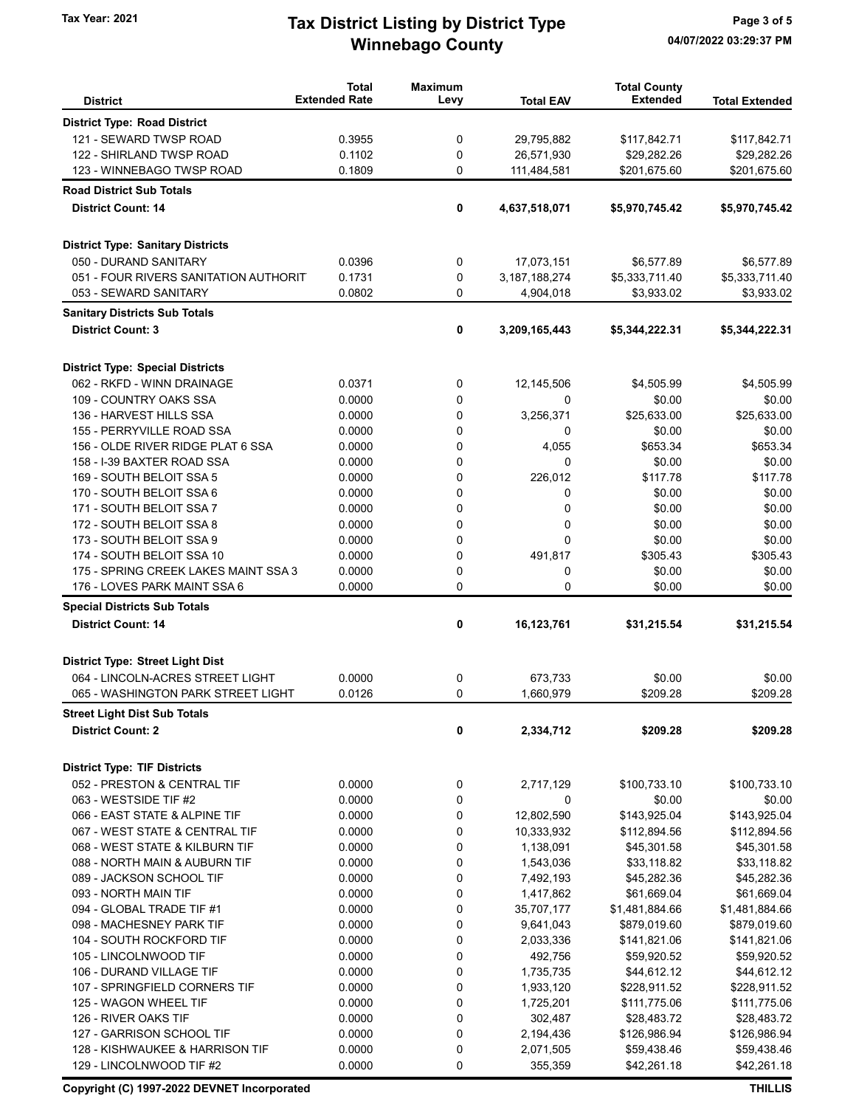## Winnebago County Tax Year: 2021 **Tax District Listing by District Type** Page 3 of 5

| <b>District</b>                          | <b>Total</b><br><b>Extended Rate</b> | <b>Maximum</b><br>Levy | <b>Total EAV</b> | <b>Total County</b><br><b>Extended</b> | <b>Total Extended</b> |
|------------------------------------------|--------------------------------------|------------------------|------------------|----------------------------------------|-----------------------|
| <b>District Type: Road District</b>      |                                      |                        |                  |                                        |                       |
| 121 - SEWARD TWSP ROAD                   | 0.3955                               | 0                      | 29,795,882       | \$117,842.71                           | \$117,842.71          |
| 122 - SHIRLAND TWSP ROAD                 | 0.1102                               | 0                      | 26,571,930       | \$29,282.26                            | \$29,282.26           |
| 123 - WINNEBAGO TWSP ROAD                | 0.1809                               | 0                      | 111,484,581      | \$201,675.60                           | \$201,675.60          |
| <b>Road District Sub Totals</b>          |                                      |                        |                  |                                        |                       |
| <b>District Count: 14</b>                |                                      | 0                      | 4,637,518,071    | \$5,970,745.42                         | \$5,970,745.42        |
|                                          |                                      |                        |                  |                                        |                       |
| <b>District Type: Sanitary Districts</b> |                                      |                        |                  |                                        |                       |
| 050 - DURAND SANITARY                    | 0.0396                               | 0                      | 17,073,151       | \$6,577.89                             | \$6,577.89            |
| 051 - FOUR RIVERS SANITATION AUTHORIT    | 0.1731                               | 0                      | 3, 187, 188, 274 | \$5,333,711.40                         | \$5,333,711.40        |
| 053 - SEWARD SANITARY                    | 0.0802                               | 0                      | 4,904,018        | \$3,933.02                             | \$3,933.02            |
| <b>Sanitary Districts Sub Totals</b>     |                                      |                        |                  |                                        |                       |
| <b>District Count: 3</b>                 |                                      | 0                      | 3,209,165,443    | \$5,344,222.31                         | \$5,344,222.31        |
| <b>District Type: Special Districts</b>  |                                      |                        |                  |                                        |                       |
| 062 - RKFD - WINN DRAINAGE               | 0.0371                               | 0                      | 12,145,506       | \$4,505.99                             | \$4,505.99            |
| 109 - COUNTRY OAKS SSA                   | 0.0000                               | 0                      | 0                | \$0.00                                 | \$0.00                |
| 136 - HARVEST HILLS SSA                  | 0.0000                               | 0                      | 3,256,371        | \$25,633.00                            | \$25,633.00           |
| 155 - PERRYVILLE ROAD SSA                | 0.0000                               | 0                      | 0                | \$0.00                                 | \$0.00                |
| 156 - OLDE RIVER RIDGE PLAT 6 SSA        | 0.0000                               | 0                      | 4,055            | \$653.34                               | \$653.34              |
| 158 - I-39 BAXTER ROAD SSA               | 0.0000                               | 0                      | $\mathbf 0$      | \$0.00                                 | \$0.00                |
| 169 - SOUTH BELOIT SSA 5                 | 0.0000                               | 0                      | 226,012          | \$117.78                               | \$117.78              |
| 170 - SOUTH BELOIT SSA 6                 | 0.0000                               | 0                      | 0                | \$0.00                                 | \$0.00                |
| 171 - SOUTH BELOIT SSA 7                 | 0.0000                               | 0                      | 0                | \$0.00                                 | \$0.00                |
| 172 - SOUTH BELOIT SSA 8                 | 0.0000                               | 0                      | $\mathbf 0$      | \$0.00                                 | \$0.00                |
| 173 - SOUTH BELOIT SSA 9                 | 0.0000                               | 0                      | $\Omega$         | \$0.00                                 | \$0.00                |
| 174 - SOUTH BELOIT SSA 10                | 0.0000                               | 0                      | 491,817          | \$305.43                               | \$305.43              |
| 175 - SPRING CREEK LAKES MAINT SSA 3     | 0.0000                               | 0                      | $\mathbf 0$      | \$0.00                                 | \$0.00                |
| 176 - LOVES PARK MAINT SSA 6             | 0.0000                               | 0                      | $\mathbf{0}$     | \$0.00                                 | \$0.00                |
| <b>Special Districts Sub Totals</b>      |                                      |                        |                  |                                        |                       |
| <b>District Count: 14</b>                |                                      | 0                      | 16,123,761       | \$31,215.54                            | \$31,215.54           |
|                                          |                                      |                        |                  |                                        |                       |
| <b>District Type: Street Light Dist</b>  |                                      |                        |                  |                                        |                       |
| 064 - LINCOLN-ACRES STREET LIGHT         | 0.0000                               | 0                      | 673,733          | \$0.00                                 | \$0.00                |
| 065 - WASHINGTON PARK STREET LIGHT       | 0.0126                               | 0                      | 1,660,979        | \$209.28                               | \$209.28              |
| <b>Street Light Dist Sub Totals</b>      |                                      |                        |                  |                                        |                       |
| <b>District Count: 2</b>                 |                                      | 0                      | 2,334,712        | \$209.28                               | \$209.28              |
| <b>District Type: TIF Districts</b>      |                                      |                        |                  |                                        |                       |
| 052 - PRESTON & CENTRAL TIF              | 0.0000                               | 0                      | 2,717,129        | \$100,733.10                           | \$100,733.10          |
| 063 - WESTSIDE TIF #2                    | 0.0000                               | 0                      | 0                | \$0.00                                 | \$0.00                |
| 066 - EAST STATE & ALPINE TIF            | 0.0000                               | 0                      | 12,802,590       | \$143,925.04                           | \$143,925.04          |
| 067 - WEST STATE & CENTRAL TIF           | 0.0000                               | 0                      | 10,333,932       | \$112,894.56                           | \$112,894.56          |
| 068 - WEST STATE & KILBURN TIF           | 0.0000                               | 0                      | 1,138,091        | \$45,301.58                            | \$45,301.58           |
| 088 - NORTH MAIN & AUBURN TIF            | 0.0000                               | 0                      | 1,543,036        | \$33,118.82                            | \$33,118.82           |
| 089 - JACKSON SCHOOL TIF                 | 0.0000                               | 0                      | 7,492,193        | \$45,282.36                            | \$45,282.36           |
| 093 - NORTH MAIN TIF                     | 0.0000                               | 0                      | 1,417,862        | \$61,669.04                            | \$61,669.04           |
| 094 - GLOBAL TRADE TIF #1                | 0.0000                               | 0                      | 35,707,177       | \$1,481,884.66                         | \$1,481,884.66        |
| 098 - MACHESNEY PARK TIF                 | 0.0000                               | 0                      | 9,641,043        | \$879,019.60                           | \$879,019.60          |
| 104 - SOUTH ROCKFORD TIF                 | 0.0000                               | 0                      | 2,033,336        | \$141,821.06                           | \$141,821.06          |
| 105 - LINCOLNWOOD TIF                    | 0.0000                               | 0                      | 492,756          | \$59,920.52                            | \$59,920.52           |
| 106 - DURAND VILLAGE TIF                 | 0.0000                               | 0                      | 1,735,735        | \$44,612.12                            | \$44,612.12           |
| 107 - SPRINGFIELD CORNERS TIF            | 0.0000                               | 0                      | 1,933,120        | \$228,911.52                           | \$228,911.52          |
| 125 - WAGON WHEEL TIF                    | 0.0000                               | 0                      | 1,725,201        | \$111,775.06                           | \$111,775.06          |
| 126 - RIVER OAKS TIF                     | 0.0000                               | 0                      | 302,487          | \$28,483.72                            | \$28,483.72           |
| 127 - GARRISON SCHOOL TIF                | 0.0000                               | 0                      | 2,194,436        | \$126,986.94                           | \$126,986.94          |
| 128 - KISHWAUKEE & HARRISON TIF          | 0.0000                               | 0                      | 2,071,505        | \$59,438.46                            | \$59,438.46           |
| 129 - LINCOLNWOOD TIF #2                 | 0.0000                               | 0                      | 355,359          | \$42,261.18                            | \$42,261.18           |

Copyright (C) 1997-2022 DEVNET Incorporated THILLIS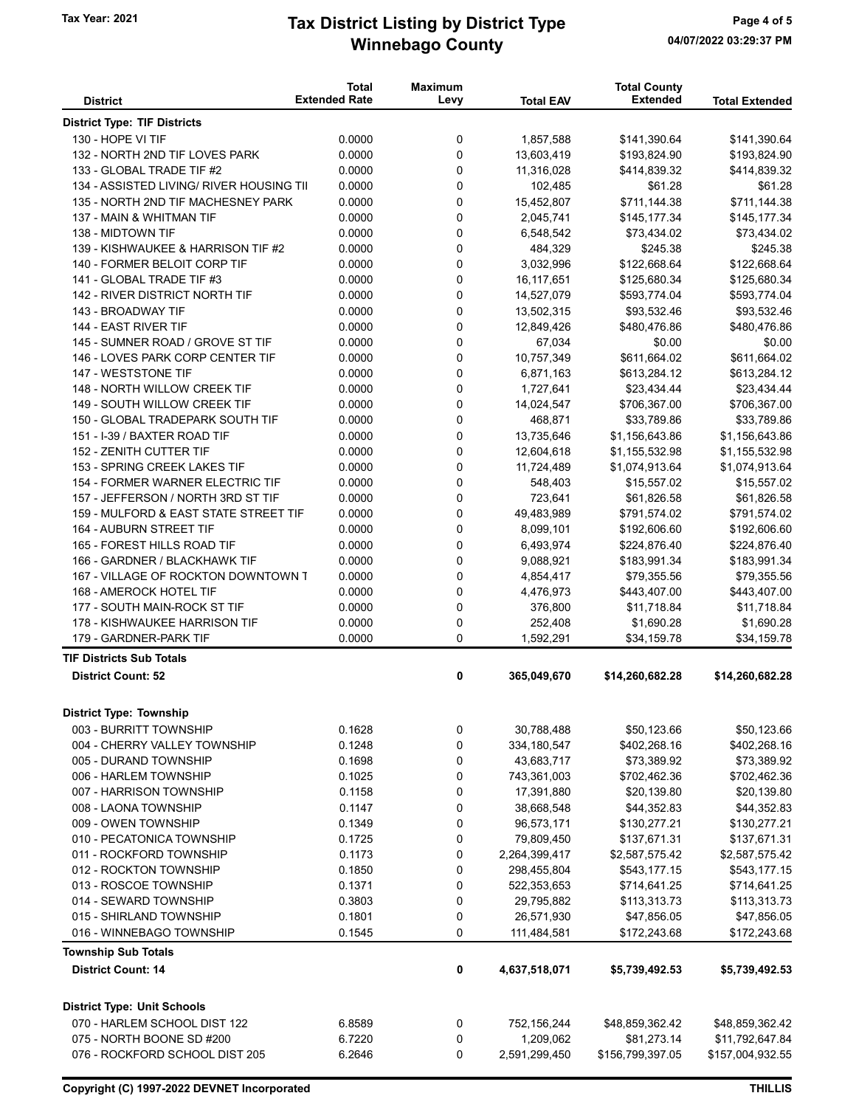## Winnebago County Tax Year: 2021 **Tax District Listing by District Type** Page 4 of 5

|                                          | <b>Total</b>         | <b>Maximum</b> |                  | <b>Total County</b> |                       |
|------------------------------------------|----------------------|----------------|------------------|---------------------|-----------------------|
| <b>District</b>                          | <b>Extended Rate</b> | Levy           | <b>Total EAV</b> | <b>Extended</b>     | <b>Total Extended</b> |
| <b>District Type: TIF Districts</b>      |                      |                |                  |                     |                       |
| 130 - HOPE VI TIF                        | 0.0000               | 0              | 1,857,588        | \$141,390.64        | \$141,390.64          |
| 132 - NORTH 2ND TIF LOVES PARK           | 0.0000               | 0              | 13,603,419       | \$193,824.90        | \$193,824.90          |
| 133 - GLOBAL TRADE TIF #2                | 0.0000               | 0              | 11,316,028       | \$414,839.32        | \$414,839.32          |
| 134 - ASSISTED LIVING/ RIVER HOUSING TII | 0.0000               | 0              | 102,485          | \$61.28             | \$61.28               |
| 135 - NORTH 2ND TIF MACHESNEY PARK       | 0.0000               | 0              | 15,452,807       | \$711,144.38        | \$711,144.38          |
| 137 - MAIN & WHITMAN TIF                 | 0.0000               | 0              | 2,045,741        | \$145,177.34        | \$145,177.34          |
| 138 - MIDTOWN TIF                        | 0.0000               | 0              | 6,548,542        | \$73,434.02         | \$73,434.02           |
| 139 - KISHWAUKEE & HARRISON TIF #2       | 0.0000               | 0              | 484,329          | \$245.38            | \$245.38              |
| 140 - FORMER BELOIT CORP TIF             | 0.0000               | 0              | 3,032,996        | \$122,668.64        | \$122,668.64          |
| 141 - GLOBAL TRADE TIF #3                | 0.0000               | 0              | 16, 117, 651     | \$125,680.34        | \$125,680.34          |
| 142 - RIVER DISTRICT NORTH TIF           | 0.0000               | 0              | 14,527,079       | \$593,774.04        | \$593,774.04          |
| 143 - BROADWAY TIF                       | 0.0000               | 0              | 13,502,315       | \$93,532.46         | \$93,532.46           |
| 144 - EAST RIVER TIF                     | 0.0000               | 0              | 12,849,426       | \$480,476.86        | \$480,476.86          |
| 145 - SUMNER ROAD / GROVE ST TIF         | 0.0000               | 0              | 67,034           | \$0.00              | \$0.00                |
| 146 - LOVES PARK CORP CENTER TIF         | 0.0000               | 0              | 10,757,349       | \$611,664.02        | \$611,664.02          |
| 147 - WESTSTONE TIF                      | 0.0000               | 0              | 6,871,163        | \$613,284.12        | \$613,284.12          |
| 148 - NORTH WILLOW CREEK TIF             | 0.0000               | 0              | 1,727,641        | \$23,434.44         | \$23,434.44           |
| 149 - SOUTH WILLOW CREEK TIF             | 0.0000               | 0              | 14,024,547       | \$706,367.00        | \$706,367.00          |
| 150 - GLOBAL TRADEPARK SOUTH TIF         | 0.0000               | 0              | 468.871          | \$33,789.86         | \$33,789.86           |
| 151 - I-39 / BAXTER ROAD TIF             | 0.0000               | 0              | 13,735,646       | \$1,156,643.86      | \$1,156,643.86        |
| 152 - ZENITH CUTTER TIF                  | 0.0000               | 0              | 12,604,618       | \$1,155,532.98      | \$1,155,532.98        |
| 153 - SPRING CREEK LAKES TIF             | 0.0000               | 0              | 11,724,489       | \$1,074,913.64      | \$1,074,913.64        |
| 154 - FORMER WARNER ELECTRIC TIF         | 0.0000               | 0              | 548,403          | \$15,557.02         | \$15,557.02           |
| 157 - JEFFERSON / NORTH 3RD ST TIF       | 0.0000               | 0              | 723,641          | \$61,826.58         | \$61,826.58           |
| 159 - MULFORD & EAST STATE STREET TIF    | 0.0000               | 0              | 49,483,989       | \$791,574.02        | \$791,574.02          |
| 164 - AUBURN STREET TIF                  | 0.0000               | 0              | 8,099,101        | \$192,606.60        | \$192,606.60          |
| 165 - FOREST HILLS ROAD TIF              | 0.0000               | 0              | 6,493,974        | \$224,876.40        | \$224,876.40          |
| 166 - GARDNER / BLACKHAWK TIF            | 0.0000               | 0              | 9,088,921        | \$183,991.34        | \$183,991.34          |
| 167 - VILLAGE OF ROCKTON DOWNTOWN T      | 0.0000               | 0              | 4,854,417        | \$79,355.56         | \$79,355.56           |
| 168 - AMEROCK HOTEL TIF                  | 0.0000               | 0              | 4,476,973        | \$443,407.00        | \$443,407.00          |
| 177 - SOUTH MAIN-ROCK ST TIF             | 0.0000               | 0              | 376,800          | \$11,718.84         | \$11,718.84           |
| 178 - KISHWAUKEE HARRISON TIF            | 0.0000               | 0              | 252,408          | \$1,690.28          | \$1,690.28            |
| 179 - GARDNER-PARK TIF                   | 0.0000               | 0              | 1,592,291        | \$34,159.78         | \$34,159.78           |
| <b>TIF Districts Sub Totals</b>          |                      |                |                  |                     |                       |
| <b>District Count: 52</b>                |                      | 0              | 365,049,670      | \$14,260,682.28     | \$14,260,682.28       |
| <b>District Type: Township</b>           |                      |                |                  |                     |                       |
| 003 - BURRITT TOWNSHIP                   | 0.1628               | 0              | 30,788,488       | \$50,123.66         | \$50,123.66           |
| 004 - CHERRY VALLEY TOWNSHIP             | 0.1248               | 0              | 334,180,547      | \$402,268.16        | \$402,268.16          |
| 005 - DURAND TOWNSHIP                    | 0.1698               | 0              | 43,683,717       | \$73,389.92         | \$73,389.92           |
| 006 - HARLEM TOWNSHIP                    | 0.1025               | 0              | 743,361,003      | \$702,462.36        | \$702,462.36          |
| 007 - HARRISON TOWNSHIP                  | 0.1158               | 0              | 17,391,880       | \$20,139.80         | \$20,139.80           |
| 008 - LAONA TOWNSHIP                     | 0.1147               | 0              | 38,668,548       | \$44,352.83         | \$44,352.83           |
| 009 - OWEN TOWNSHIP                      | 0.1349               | 0              | 96,573,171       | \$130,277.21        | \$130,277.21          |
| 010 - PECATONICA TOWNSHIP                | 0.1725               | 0              | 79,809,450       | \$137,671.31        | \$137,671.31          |
| 011 - ROCKFORD TOWNSHIP                  | 0.1173               | 0              | 2,264,399,417    | \$2,587,575.42      | \$2,587,575.42        |
| 012 - ROCKTON TOWNSHIP                   | 0.1850               | 0              | 298,455,804      | \$543,177.15        | \$543,177.15          |
| 013 - ROSCOE TOWNSHIP                    | 0.1371               | 0              | 522,353,653      | \$714,641.25        | \$714,641.25          |
| 014 - SEWARD TOWNSHIP                    | 0.3803               | 0              | 29,795,882       | \$113,313.73        | \$113,313.73          |
| 015 - SHIRLAND TOWNSHIP                  | 0.1801               | 0              | 26,571,930       | \$47,856.05         | \$47,856.05           |
| 016 - WINNEBAGO TOWNSHIP                 | 0.1545               | 0              | 111,484,581      | \$172,243.68        | \$172,243.68          |
| <b>Township Sub Totals</b>               |                      |                |                  |                     |                       |
| <b>District Count: 14</b>                |                      | 0              | 4,637,518,071    | \$5,739,492.53      | \$5,739,492.53        |
| <b>District Type: Unit Schools</b>       |                      |                |                  |                     |                       |
| 070 - HARLEM SCHOOL DIST 122             | 6.8589               | 0              | 752,156,244      | \$48,859,362.42     | \$48,859,362.42       |
| 075 - NORTH BOONE SD #200                | 6.7220               | 0              | 1,209,062        | \$81,273.14         | \$11,792,647.84       |
| 076 - ROCKFORD SCHOOL DIST 205           | 6.2646               | 0              | 2,591,299,450    | \$156,799,397.05    | \$157,004,932.55      |